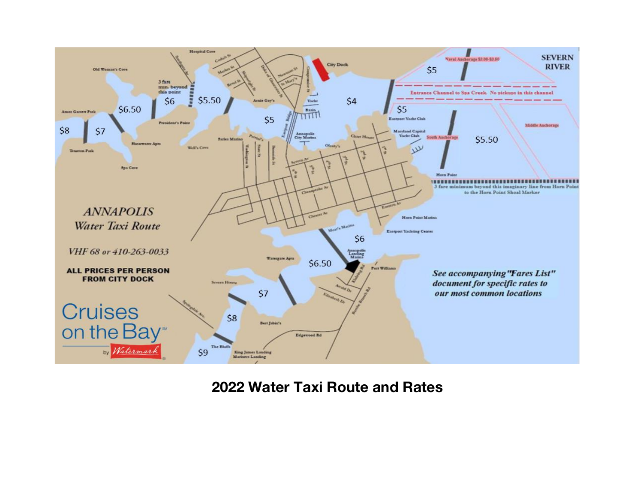

**2022 Water Taxi Route and Rates**